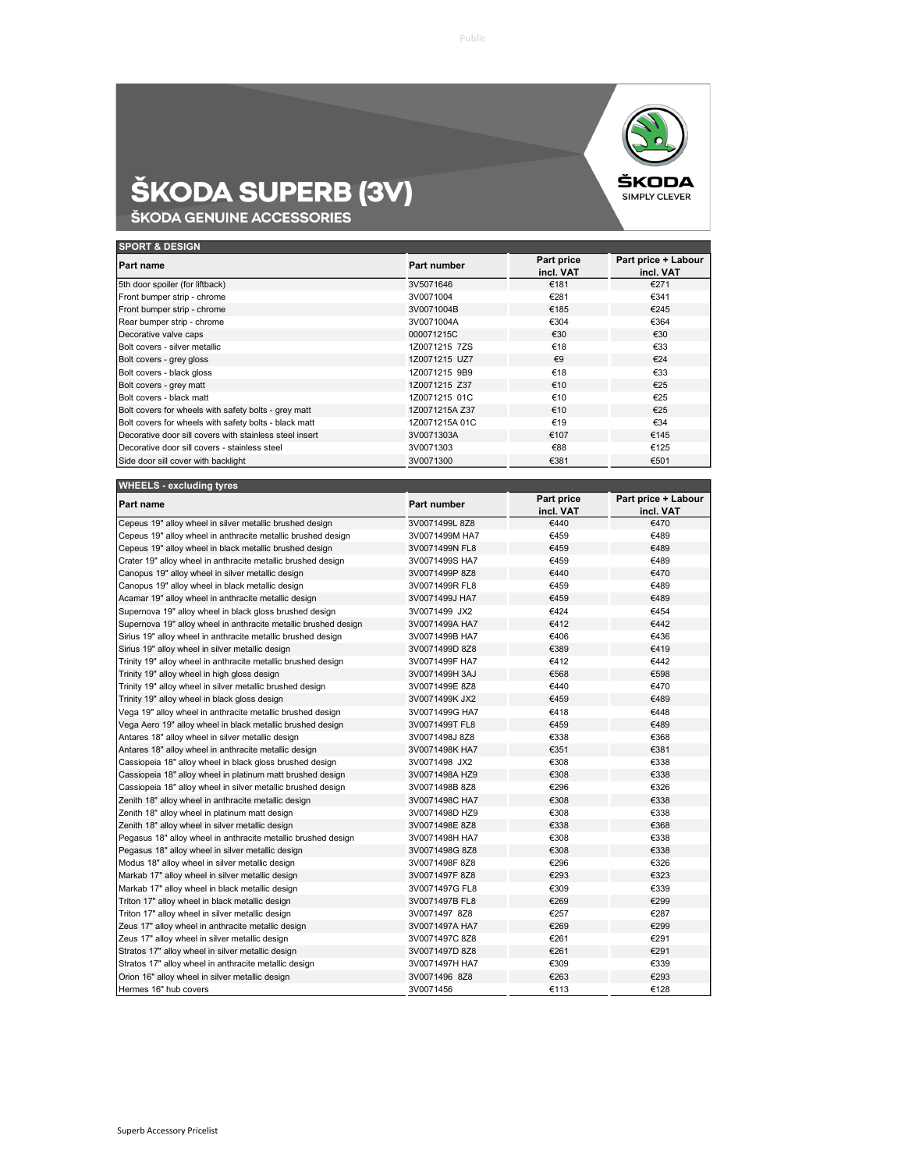

## **ŠKODA SUPERB (3V)**<br>Škoda genuine accessories

| <b>SPORT &amp; DESIGN</b>                               |                |                         |                                  |  |
|---------------------------------------------------------|----------------|-------------------------|----------------------------------|--|
| <b>Part name</b>                                        | Part number    | Part price<br>incl. VAT | Part price + Labour<br>incl. VAT |  |
| 5th door spoiler (for liftback)                         | 3V5071646      | €181                    | €271                             |  |
| Front bumper strip - chrome                             | 3V0071004      | €281                    | €341                             |  |
| Front bumper strip - chrome                             | 3V0071004B     | €185                    | €245                             |  |
| Rear bumper strip - chrome                              | 3V0071004A     | €304                    | €364                             |  |
| Decorative valve caps                                   | 000071215C     | €30                     | €30                              |  |
| Bolt covers - silver metallic                           | 1Z0071215 7ZS  | €18                     | €33                              |  |
| Bolt covers - grey gloss                                | 1Z0071215 UZ7  | $\epsilon$ 9            | €24                              |  |
| Bolt covers - black gloss                               | 1Z0071215 9B9  | €18                     | €33                              |  |
| Bolt covers - grey matt                                 | 1Z0071215 Z37  | €10                     | €25                              |  |
| Bolt covers - black matt                                | 1Z0071215 01C  | €10                     | €25                              |  |
| Bolt covers for wheels with safety bolts - grey matt    | 1Z0071215A Z37 | €10                     | €25                              |  |
| Bolt covers for wheels with safety bolts - black matt   | 1Z0071215A 01C | €19                     | €34                              |  |
| Decorative door sill covers with stainless steel insert | 3V0071303A     | €107                    | €145                             |  |
| Decorative door sill covers - stainless steel           | 3V0071303      | €88                     | €125                             |  |
| Side door sill cover with backlight                     | 3V0071300      | €381                    | €501                             |  |

| <b>WHEELS - excluding tyres</b>                                 |                |                         |                                  |
|-----------------------------------------------------------------|----------------|-------------------------|----------------------------------|
| Part name                                                       | Part number    | Part price<br>incl. VAT | Part price + Labour<br>incl. VAT |
| Cepeus 19" alloy wheel in silver metallic brushed design        | 3V0071499L 8Z8 | €440                    | €470                             |
| Cepeus 19" alloy wheel in anthracite metallic brushed design    | 3V0071499M HA7 | €459                    | €489                             |
| Cepeus 19" alloy wheel in black metallic brushed design         | 3V0071499N FL8 | €459                    | €489                             |
| Crater 19" alloy wheel in anthracite metallic brushed design    | 3V0071499S HA7 | €459                    | €489                             |
| Canopus 19" alloy wheel in silver metallic design               | 3V0071499P 8Z8 | €440                    | €470                             |
| Canopus 19" alloy wheel in black metallic design                | 3V0071499R FL8 | €459                    | €489                             |
| Acamar 19" alloy wheel in anthracite metallic design            | 3V0071499J HA7 | €459                    | €489                             |
| Supernova 19" alloy wheel in black gloss brushed design         | 3V0071499 JX2  | €424                    | €454                             |
| Supernova 19" alloy wheel in anthracite metallic brushed design | 3V0071499A HA7 | €412                    | €442                             |
| Sirius 19" alloy wheel in anthracite metallic brushed design    | 3V0071499B HA7 | €406                    | €436                             |
| Sirius 19" alloy wheel in silver metallic design                | 3V0071499D 8Z8 | €389                    | €419                             |
| Trinity 19" alloy wheel in anthracite metallic brushed design   | 3V0071499F HA7 | €412                    | €442                             |
| Trinity 19" alloy wheel in high gloss design                    | 3V0071499H 3AJ | €568                    | €598                             |
| Trinity 19" alloy wheel in silver metallic brushed design       | 3V0071499E 8Z8 | €440                    | €470                             |
| Trinity 19" alloy wheel in black gloss design                   | 3V0071499K JX2 | €459                    | €489                             |
| Vega 19" alloy wheel in anthracite metallic brushed design      | 3V0071499G HA7 | €418                    | €448                             |
| Vega Aero 19" alloy wheel in black metallic brushed design      | 3V0071499T FL8 | €459                    | €489                             |
| Antares 18" alloy wheel in silver metallic design               | 3V0071498J 8Z8 | €338                    | €368                             |
| Antares 18" alloy wheel in anthracite metallic design           | 3V0071498K HA7 | €351                    | €381                             |
| Cassiopeia 18" alloy wheel in black gloss brushed design        | 3V0071498 JX2  | €308                    | €338                             |
| Cassiopeia 18" alloy wheel in platinum matt brushed design      | 3V0071498A HZ9 | €308                    | €338                             |
| Cassiopeia 18" alloy wheel in silver metallic brushed design    | 3V0071498B 8Z8 | €296                    | €326                             |
| Zenith 18" alloy wheel in anthracite metallic design            | 3V0071498C HA7 | €308                    | €338                             |
| Zenith 18" alloy wheel in platinum matt design                  | 3V0071498D HZ9 | €308                    | €338                             |
| Zenith 18" alloy wheel in silver metallic design                | 3V0071498E8Z8  | €338                    | €368                             |
| Pegasus 18" alloy wheel in anthracite metallic brushed design   | 3V0071498H HA7 | €308                    | €338                             |
| Pegasus 18" alloy wheel in silver metallic design               | 3V0071498G 8Z8 | €308                    | €338                             |
| Modus 18" alloy wheel in silver metallic design                 | 3V0071498F8Z8  | €296                    | €326                             |
| Markab 17" alloy wheel in silver metallic design                | 3V0071497F8Z8  | €293                    | €323                             |
| Markab 17" alloy wheel in black metallic design                 | 3V0071497G FL8 | €309                    | €339                             |
| Triton 17" alloy wheel in black metallic design                 | 3V0071497B FL8 | €269                    | €299                             |
| Triton 17" alloy wheel in silver metallic design                | 3V0071497 8Z8  | €257                    | €287                             |
| Zeus 17" alloy wheel in anthracite metallic design              | 3V0071497A HA7 | €269                    | €299                             |
| Zeus 17" alloy wheel in silver metallic design                  | 3V0071497C 8Z8 | €261                    | €291                             |
| Stratos 17" alloy wheel in silver metallic design               | 3V0071497D 8Z8 | €261                    | €291                             |
| Stratos 17" alloy wheel in anthracite metallic design           | 3V0071497H HA7 | €309                    | €339                             |
| Orion 16" alloy wheel in silver metallic design                 | 3V0071496 8Z8  | €263                    | €293                             |
| Hermes 16" hub covers                                           | 3V0071456      | €113                    | €128                             |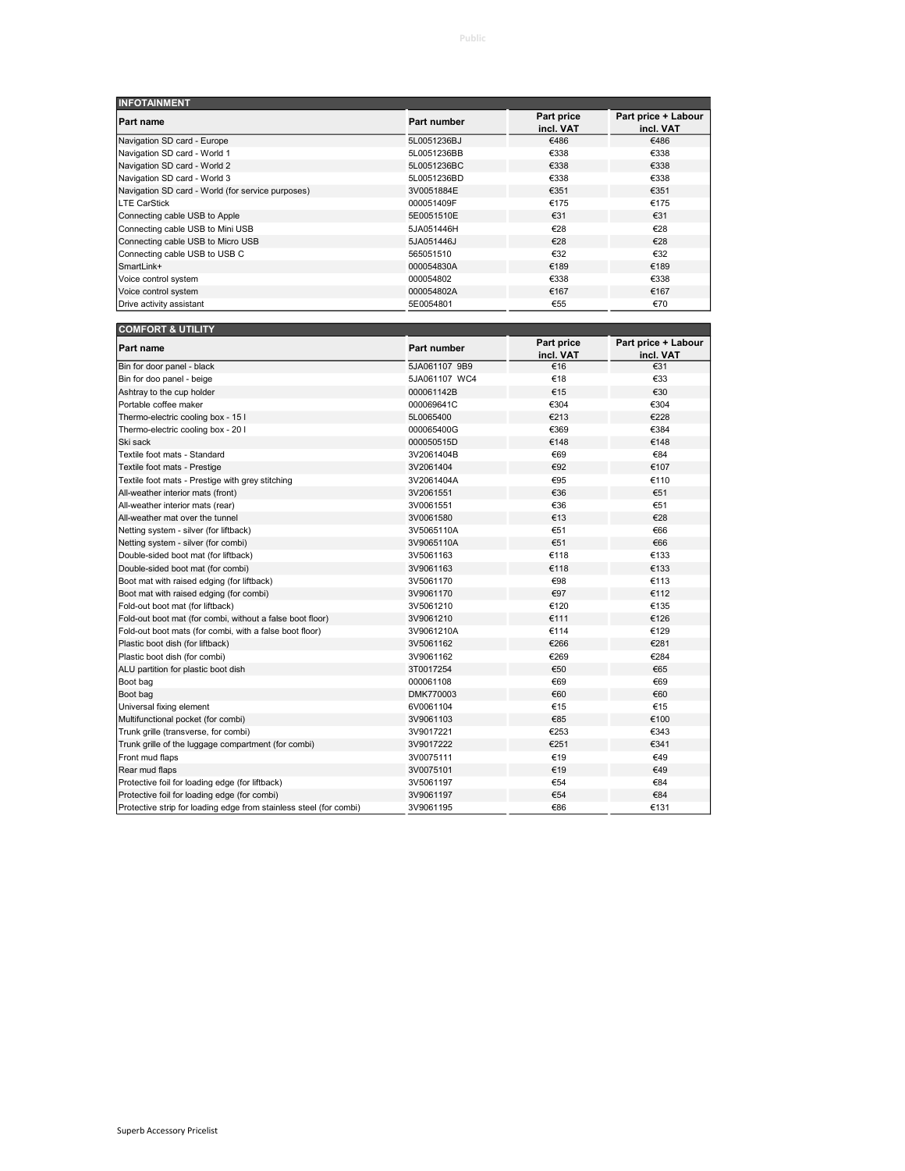| <b>INFOTAINMENT</b>                               |             |                         |                                  |
|---------------------------------------------------|-------------|-------------------------|----------------------------------|
| <b>Part name</b>                                  | Part number | Part price<br>incl. VAT | Part price + Labour<br>incl. VAT |
| Navigation SD card - Europe                       | 5L0051236BJ | €486                    | €486                             |
| Navigation SD card - World 1                      | 5L0051236BB | €338                    | €338                             |
| Navigation SD card - World 2                      | 5L0051236BC | €338                    | €338                             |
| Navigation SD card - World 3                      | 5L0051236BD | €338                    | €338                             |
| Navigation SD card - World (for service purposes) | 3V0051884E  | €351                    | €351                             |
| <b>LTE CarStick</b>                               | 000051409F  | €175                    | €175                             |
| Connecting cable USB to Apple                     | 5E0051510E  | €31                     | €31                              |
| Connecting cable USB to Mini USB                  | 5JA051446H  | €28                     | €28                              |
| Connecting cable USB to Micro USB                 | 5JA051446J  | €28                     | €28                              |
| Connecting cable USB to USB C                     | 565051510   | €32                     | €32                              |
| SmartLink+                                        | 000054830A  | €189                    | €189                             |
| Voice control system                              | 000054802   | €338                    | €338                             |
| Voice control system                              | 000054802A  | €167                    | €167                             |
| Drive activity assistant                          | 5E0054801   | €55                     | €70                              |

| <b>COMFORT &amp; UTILITY</b>                                       |               |                         |                                  |
|--------------------------------------------------------------------|---------------|-------------------------|----------------------------------|
| Part name                                                          | Part number   | Part price<br>incl. VAT | Part price + Labour<br>incl. VAT |
| Bin for door panel - black                                         | 5JA061107 9B9 | €16                     | €31                              |
| Bin for doo panel - beige                                          | 5JA061107 WC4 | €18                     | €33                              |
| Ashtray to the cup holder                                          | 000061142B    | €15                     | €30                              |
| Portable coffee maker                                              | 000069641C    | €304                    | €304                             |
| Thermo-electric cooling box - 15 l                                 | 5L0065400     | €213                    | €228                             |
| Thermo-electric cooling box - 20 I                                 | 000065400G    | €369                    | €384                             |
| Ski sack                                                           | 000050515D    | €148                    | €148                             |
| Textile foot mats - Standard                                       | 3V2061404B    | €69                     | €84                              |
| Textile foot mats - Prestige                                       | 3V2061404     | €92                     | €107                             |
| Textile foot mats - Prestige with grey stitching                   | 3V2061404A    | €95                     | €110                             |
| All-weather interior mats (front)                                  | 3V2061551     | €36                     | €51                              |
| All-weather interior mats (rear)                                   | 3V0061551     | €36                     | €51                              |
| All-weather mat over the tunnel                                    | 3V0061580     | €13                     | €28                              |
| Netting system - silver (for liftback)                             | 3V5065110A    | €51                     | €66                              |
| Netting system - silver (for combi)                                | 3V9065110A    | €51                     | €66                              |
| Double-sided boot mat (for liftback)                               | 3V5061163     | €118                    | €133                             |
| Double-sided boot mat (for combi)                                  | 3V9061163     | €118                    | €133                             |
| Boot mat with raised edging (for liftback)                         | 3V5061170     | €98                     | €113                             |
| Boot mat with raised edging (for combi)                            | 3V9061170     | €97                     | €112                             |
| Fold-out boot mat (for liftback)                                   | 3V5061210     | €120                    | €135                             |
| Fold-out boot mat (for combi, without a false boot floor)          | 3V9061210     | €111                    | €126                             |
| Fold-out boot mats (for combi, with a false boot floor)            | 3V9061210A    | €114                    | €129                             |
| Plastic boot dish (for liftback)                                   | 3V5061162     | €266                    | €281                             |
| Plastic boot dish (for combi)                                      | 3V9061162     | €269                    | €284                             |
| ALU partition for plastic boot dish                                | 3T0017254     | €50                     | €65                              |
| Boot bag                                                           | 000061108     | €69                     | €69                              |
| Boot bag                                                           | DMK770003     | €60                     | €60                              |
| Universal fixing element                                           | 6V0061104     | €15                     | €15                              |
| Multifunctional pocket (for combi)                                 | 3V9061103     | €85                     | €100                             |
| Trunk grille (transverse, for combi)                               | 3V9017221     | €253                    | €343                             |
| Trunk grille of the luggage compartment (for combi)                | 3V9017222     | €251                    | €341                             |
| Front mud flaps                                                    | 3V0075111     | €19                     | €49                              |
| Rear mud flaps                                                     | 3V0075101     | €19                     | €49                              |
| Protective foil for loading edge (for liftback)                    | 3V5061197     | €54                     | €84                              |
| Protective foil for loading edge (for combi)                       | 3V9061197     | €54                     | €84                              |
| Protective strip for loading edge from stainless steel (for combi) | 3V9061195     | €86                     | €131                             |